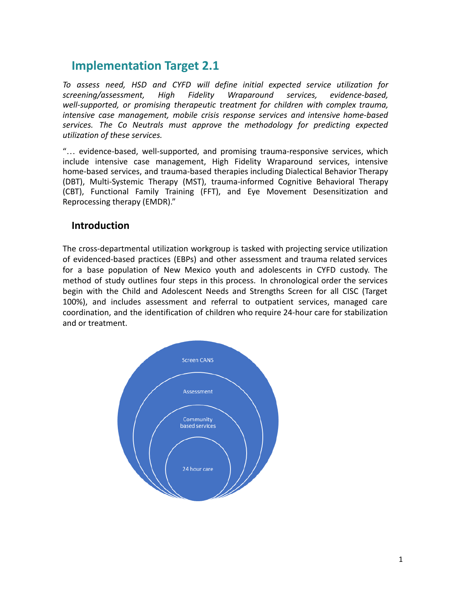## **Implementation Target 2.1**

*To assess need, HSD and CYFD will define initial expected service utilization for screening/assessment, High Fidelity Wraparound services, evidence-based, well-supported, or promising therapeutic treatment for children with complex trauma, intensive case management, mobile crisis response services and intensive home-based services. The Co Neutrals must approve the methodology for predicting expected utilization of these services.*

"… evidence-based, well-supported, and promising trauma-responsive services, which include intensive case management, High Fidelity Wraparound services, intensive home-based services, and trauma-based therapies including Dialectical Behavior Therapy (DBT), Multi-Systemic Therapy (MST), trauma-informed Cognitive Behavioral Therapy (CBT), Functional Family Training (FFT), and Eye Movement Desensitization and Reprocessing therapy (EMDR)."

### **Introduction**

The cross-departmental utilization workgroup is tasked with projecting service utilization of evidenced-based practices (EBPs) and other assessment and trauma related services for a base population of New Mexico youth and adolescents in CYFD custody. The method of study outlines four steps in this process. In chronological order the services begin with the Child and Adolescent Needs and Strengths Screen for all CISC (Target 100%), and includes assessment and referral to outpatient services, managed care coordination, and the identification of children who require 24-hour care for stabilization and or treatment.

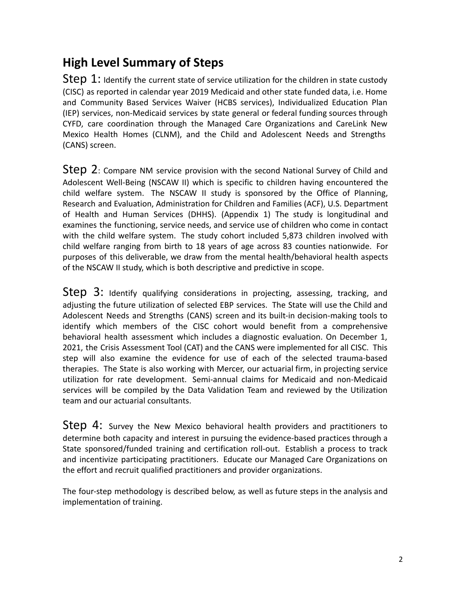# **High Level Summary of Steps**

 $Step 1:$  Identify the current state of service utilization for the children in state custody (CISC) as reported in calendar year 2019 Medicaid and other state funded data, i.e. Home and Community Based Services Waiver (HCBS services), Individualized Education Plan (IEP) services, non-Medicaid services by state general or federal funding sources through CYFD, care coordination through the Managed Care Organizations and CareLink New Mexico Health Homes (CLNM), and the Child and Adolescent Needs and Strengths (CANS) screen.

Step 2: Compare NM service provision with the second National Survey of Child and Adolescent Well-Being (NSCAW II) which is specific to children having encountered the child welfare system. The NSCAW II study is sponsored by the Office of Planning, Research and Evaluation, Administration for Children and Families (ACF), U.S. Department of Health and Human Services (DHHS). (Appendix 1) The study is longitudinal and examines the functioning, service needs, and service use of children who come in contact with the child welfare system. The study cohort included 5,873 children involved with child welfare ranging from birth to 18 years of age across 83 counties nationwide. For purposes of this deliverable, we draw from the mental health/behavioral health aspects of the NSCAW II study, which is both descriptive and predictive in scope.

Step 3: Identify qualifying considerations in projecting, assessing, tracking, and adjusting the future utilization of selected EBP services. The State will use the Child and Adolescent Needs and Strengths (CANS) screen and its built-in decision-making tools to identify which members of the CISC cohort would benefit from a comprehensive behavioral health assessment which includes a diagnostic evaluation. On December 1, 2021, the Crisis Assessment Tool (CAT) and the CANS were implemented for all CISC. This step will also examine the evidence for use of each of the selected trauma-based therapies. The State is also working with Mercer, our actuarial firm, in projecting service utilization for rate development. Semi-annual claims for Medicaid and non-Medicaid services will be compiled by the Data Validation Team and reviewed by the Utilization team and our actuarial consultants.

Step 4: Survey the New Mexico behavioral health providers and practitioners to determine both capacity and interest in pursuing the evidence-based practices through a State sponsored/funded training and certification roll-out. Establish a process to track and incentivize participating practitioners. Educate our Managed Care Organizations on the effort and recruit qualified practitioners and provider organizations.

The four-step methodology is described below, as well as future steps in the analysis and implementation of training.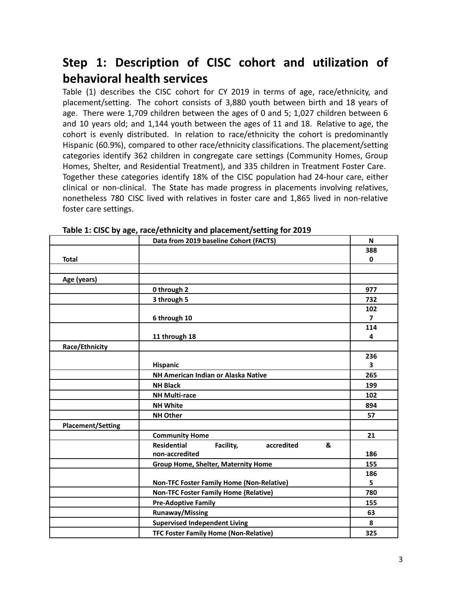# **Step 1: Description of CISC cohort and utilization of behavioral health services**

Table (1) describes the CISC cohort for CY 2019 in terms of age, race/ethnicity, and placement/setting. The cohort consists of 3,880 youth between birth and 18 years of age. There were 1,709 children between the ages of 0 and 5; 1,027 children between 6 and 10 years old; and 1,144 youth between the ages of 11 and 18. Relative to age, the cohort is evenly distributed. In relation to race/ethnicity the cohort is predominantly Hispanic (60.9%), compared to other race/ethnicity classifications. The placement/setting categories identify 362 children in congregate care settings (Community Homes, Group Homes, Shelter, and Residential Treatment), and 335 children in Treatment Foster Care. Together these categories identify 18% of the CISC population had 24-hour care, either clinical or non-clinical. The State has made progress in placements involving relatives, nonetheless 780 CISC lived with relatives in foster care and 1,865 lived in non-relative foster care settings.

|                          | Data from 2019 baseline Cohort (FACTS)             | N                       |
|--------------------------|----------------------------------------------------|-------------------------|
|                          |                                                    | 388                     |
| <b>Total</b>             |                                                    | $\mathbf{0}$            |
|                          |                                                    |                         |
| Age (years)              |                                                    |                         |
|                          | 0 through 2                                        | 977                     |
|                          | 3 through 5                                        | 732                     |
|                          |                                                    | 102                     |
|                          | 6 through 10                                       | $\overline{7}$          |
|                          |                                                    | 114                     |
|                          | 11 through 18                                      | 4                       |
| Race/Ethnicity           |                                                    |                         |
|                          |                                                    | 236                     |
|                          | <b>Hispanic</b>                                    | $\overline{\mathbf{3}}$ |
|                          | NH American Indian or Alaska Native                | 265                     |
|                          | <b>NH Black</b>                                    | 199                     |
|                          | <b>NH Multi-race</b>                               | 102                     |
|                          | <b>NH White</b>                                    | 894                     |
|                          | <b>NH Other</b>                                    | 57                      |
| <b>Placement/Setting</b> |                                                    |                         |
|                          | <b>Community Home</b>                              | 21                      |
|                          | <b>Residential</b><br>Facility,<br>accredited<br>& |                         |
|                          | non-accredited                                     | 186                     |
|                          | <b>Group Home, Shelter, Maternity Home</b>         | 155                     |
|                          |                                                    | 186                     |
|                          | <b>Non-TFC Foster Family Home (Non-Relative)</b>   | 5                       |
|                          | <b>Non-TFC Foster Family Home (Relative)</b>       | 780                     |
|                          | <b>Pre-Adoptive Family</b>                         | 155                     |
|                          | <b>Runaway/Missing</b>                             | 63                      |
|                          | <b>Supervised Independent Living</b>               | 8                       |
|                          | <b>TFC Foster Family Home (Non-Relative)</b>       | 325                     |

**Table 1: CISC by age, race/ethnicity and placement/setting for 2019**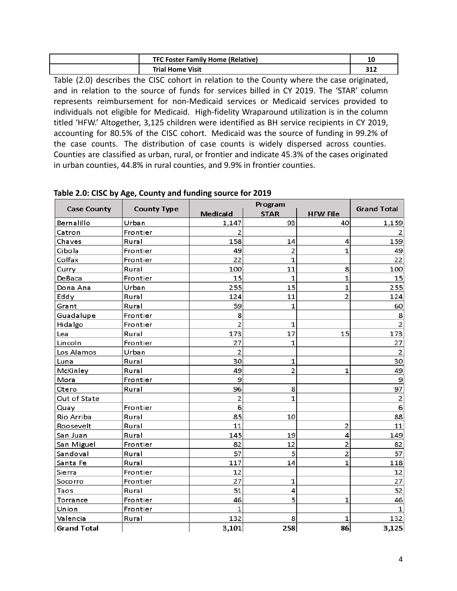| <b>TFC Foster Family Home (Relative)</b> | ∸          |
|------------------------------------------|------------|
| <b>Trial Home Visit</b>                  | 212<br>31Z |

Table (2.0) describes the CISC cohort in relation to the County where the case originated, and in relation to the source of funds for services billed in CY 2019. The 'STAR' column represents reimbursement for non-Medicaid services or Medicaid services provided to individuals not eligible for Medicaid. High-fidelity Wraparound utilization is in the column titled 'HFW.' Altogether, 3,125 children were identified as BH service recipients in CY 2019, accounting for 80.5% of the CISC cohort. Medicaid was the source of funding in 99.2% of the case counts. The distribution of case counts is widely dispersed across counties. Counties are classified as urban, rural, or frontier and indicate 45.3% of the cases originated in urban counties, 44.8% in rural counties, and 9.9% in frontier counties.

|                    |                    |                | Program        |                 | <b>Grand Total</b> |
|--------------------|--------------------|----------------|----------------|-----------------|--------------------|
| <b>Case County</b> | <b>County Type</b> | Medicaid       | <b>STAR</b>    | <b>HFW File</b> |                    |
| Bernalillo         | Urban              | 1,147          | 93             | 40              | 1,159              |
| Catron             | Frontier           | 2              |                |                 |                    |
| Chaves             | Rural              | 158            | 14             | 4               | 159                |
| Cibola             | Frontier           | 49             | 2              | 1               | 49                 |
| Colfax             | Frontier           | 22             | 1              |                 | 22                 |
| Curry              | Rural              | 100            | 11             | 8               | 100                |
| DeBaca             | Frontier           | 15             | $\mathbf{1}$   | $\mathbf 1$     | 15                 |
| Dona Ana           | Urban              | 255            | 15             | 1               | 255                |
| Eddy               | Rural              | 124            | 11             | $\overline{2}$  | 124                |
| Grant              | Rural              | 59             | $\mathbf{1}$   |                 | 60                 |
| Guadalupe          | Frontier           | 8              |                |                 | 8                  |
| Hidalgo            | Frontier           | $\overline{2}$ | 1              |                 | $\overline{2}$     |
| Lea                | Rural              | 173            | 17             | 15              | 173                |
| Lincoln            | Frontier           | 27             | 1              |                 | 27                 |
| Los Alamos         | Urban              | $\overline{2}$ |                |                 | $\overline{2}$     |
| Luna               | Rural              | 30             | 1              |                 | 30                 |
| McKinley           | Rural              | 49             | $\overline{2}$ | $\mathbf 1$     | 49                 |
| Mora               | Frontier           | 9              |                |                 | 9                  |
| Otero              | Rural              | 96             | 8              |                 | 97                 |
| Out of State       |                    | $\overline{2}$ | 1              |                 | $\overline{2}$     |
| Quay               | Frontier           | 6              |                |                 | 6                  |
| Rio Arriba         | Rural              | 85             | 10             |                 | 88                 |
| Roosevelt          | Rural              | 11             |                | 2               | 11                 |
| San Juan           | Rural              | 145            | 19             | 4               | 149                |
| San Miguel         | Frontier           | 82             | 12             | $\overline{2}$  | 82                 |
| Sandoval           | Rural              | 57             | 5              | $\overline{2}$  | 57                 |
| Santa Fe           | Rural              | 117            | 14             | 1               | 118                |
| Sierra             | Frontier           | 12             |                |                 | 12                 |
| Socorro            | Frontier           | 27             | 1              |                 | 27                 |
| Taos               | Rural              | 51             | 4              |                 | 52                 |
| Torrance           | Frontier           | 46             | 5              | 1               | 46                 |
| Union              | Frontier           | $\mathbf 1$    |                |                 | 1                  |
| Valencia           | Rural              | 132            | 8              | $\mathbf 1$     | 132                |
| <b>Grand Total</b> |                    | 3,101          | 258            | 86              | 3,125              |

**Table 2.0: CISC by Age, County and funding source for 2019**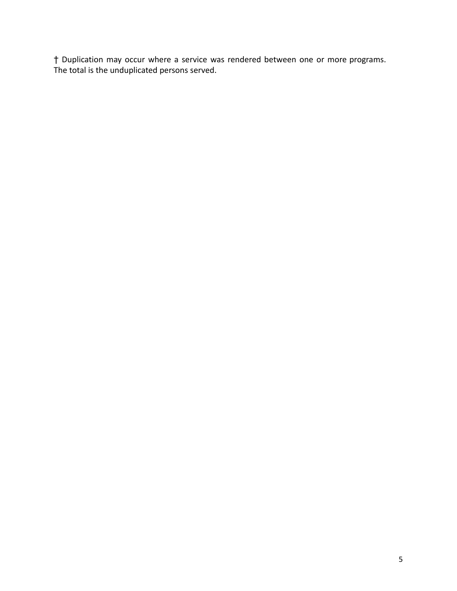† Duplication may occur where a service was rendered between one or more programs. The total is the unduplicated persons served.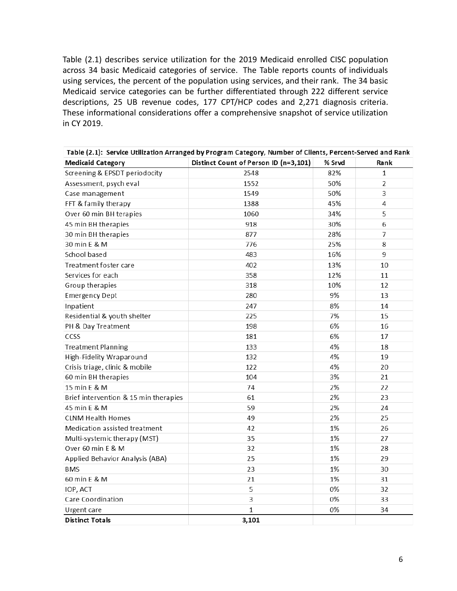Table (2.1) describes service utilization for the 2019 Medicaid enrolled CISC population across 34 basic Medicaid categories of service. The Table reports counts of individuals using services, the percent of the population using services, and their rank. The 34 basic Medicaid service categories can be further differentiated through 222 different service descriptions, 25 UB revenue codes, 177 CPT/HCP codes and 2,271 diagnosis criteria. These informational considerations offer a comprehensive snapshot of service utilization in CY 2019.

| Table (2.1): Service Utilization Arranged by Program Category, Number of Clients, Percent-Served and Rank |                                       |        |              |
|-----------------------------------------------------------------------------------------------------------|---------------------------------------|--------|--------------|
| <b>Medicaid Category</b>                                                                                  | Distinct Count of Person ID (n=3,101) | % Srvd | Rank         |
| Screening & EPSDT periodocity                                                                             | 2548                                  | 82%    | $\mathbf{1}$ |
| Assessment, psych eval                                                                                    | 1552                                  | 50%    | 2            |
| Case management                                                                                           | 1549                                  | 50%    | 3            |
| FFT & family therapy                                                                                      | 1388                                  | 45%    | 4            |
| Over 60 min BH terapies                                                                                   | 1060                                  | 34%    | 5            |
| 45 min BH therapies                                                                                       | 918                                   | 30%    | 6            |
| 30 min BH therapies                                                                                       | 877                                   | 28%    | 7            |
| 30 min E & M                                                                                              | 776                                   | 25%    | 8            |
| School based                                                                                              | 483                                   | 16%    | 9            |
| Treatment foster care                                                                                     | 402                                   | 13%    | 10           |
| Services for each                                                                                         | 358                                   | 12%    | 11           |
| Group therapies                                                                                           | 318                                   | 10%    | 12           |
| <b>Emergency Dept</b>                                                                                     | 280                                   | 9%     | 13           |
| Inpatient                                                                                                 | 247                                   | 8%     | 14           |
| Residential & youth shelter                                                                               | 225                                   | 7%     | 15           |
| PH & Day Treatment                                                                                        | 198                                   | 6%     | 16           |
| CCSS                                                                                                      | 181                                   | 6%     | 17           |
| <b>Treatment Planning</b>                                                                                 | 133                                   | 4%     | 18           |
| High-Fidelity Wraparound                                                                                  | 132                                   | 4%     | 19           |
| Crisis triage, clinic & mobile                                                                            | 122                                   | 4%     | 20           |
| 60 min BH therapies                                                                                       | 104                                   | 3%     | 21           |
| 15 min E & M                                                                                              | 74                                    | 2%     | 22           |
| Brief intervention & 15 min therapies                                                                     | 61                                    | 2%     | 23           |
| 45 min E & M                                                                                              | 59                                    | 2%     | 24           |
| <b>CLNM Health Homes</b>                                                                                  | 49                                    | 2%     | 25           |
| Medication assisted treatment                                                                             | 42                                    | 1%     | 26           |
| Multi-systemic therapy (MST)                                                                              | 35                                    | 1%     | 27           |
| Over 60 min E & M                                                                                         | 32                                    | 1%     | 28           |
| Applied Behavior Analysis (ABA)                                                                           | 25                                    | 1%     | 29           |
| <b>BMS</b>                                                                                                | 23                                    | 1%     | 30           |
| 60 min E & M                                                                                              | 21                                    | 1%     | 31           |
| IOP, ACT                                                                                                  | 5                                     | 0%     | 32           |
| Care Coordination                                                                                         | 3                                     | 0%     | 33           |
| Urgent care                                                                                               | $\mathbf 1$                           | 0%     | 34           |
| <b>Distinct Totals</b>                                                                                    | 3,101                                 |        |              |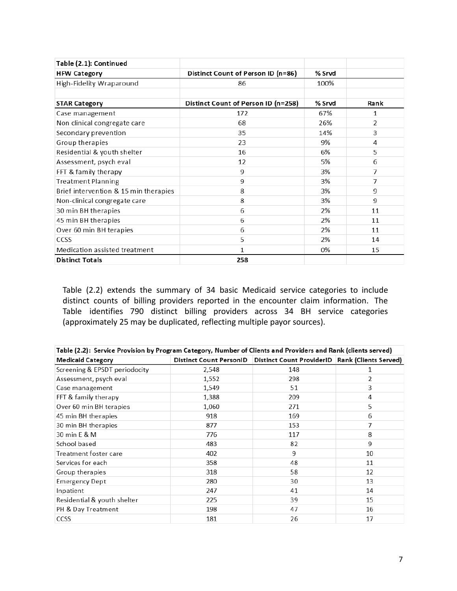| Table (2.1): Continued                |                                     |        |      |
|---------------------------------------|-------------------------------------|--------|------|
| <b>HFW Category</b>                   | Distinct Count of Person ID (n=86)  | % Srvd |      |
| High-Fidelity Wraparound              | 86                                  | 100%   |      |
|                                       |                                     |        |      |
| <b>STAR Category</b>                  | Distinct Count of Person ID (n=258) | % Srvd | Rank |
| Case management                       | 172                                 | 67%    | 1    |
| Non clinical congregate care          | 68                                  | 26%    | 2    |
| Secondary prevention                  | 35                                  | 14%    | 3    |
| Group therapies                       | 23                                  | 9%     | 4    |
| Residential & youth shelter           | 16                                  | 6%     | 5    |
| Assessment, psych eval                | 12                                  | 5%     | 6    |
| FFT & family therapy                  | 9                                   | 3%     | 7    |
| <b>Treatment Planning</b>             | 9                                   | 3%     | 7    |
| Brief intervention & 15 min therapies | 8                                   | 3%     | 9    |
| Non-clinical congregate care          | 8                                   | 3%     | 9    |
| 30 min BH therapies                   | 6                                   | 2%     | 11   |
| 45 min BH therapies                   | 6                                   | 2%     | 11   |
| Over 60 min BH terapies               | 6                                   | 2%     | 11   |
| CCSS                                  | 5                                   | 2%     | 14   |
| Medication assisted treatment         | 1                                   | 0%     | 15   |
| <b>Distinct Totals</b>                | 258                                 |        |      |

Table (2.2) extends the summary of 34 basic Medicaid service categories to include distinct counts of billing providers reported in the encounter claim information. The Table identifies 790 distinct billing providers across 34 BH service categories (approximately 25 may be duplicated, reflecting multiple payor sources).

| Table (2.2): Service Provision by Program Category, Number of Clients and Providers and Rank (clients served) |       |                                                                         |    |
|---------------------------------------------------------------------------------------------------------------|-------|-------------------------------------------------------------------------|----|
| <b>Medicaid Category</b>                                                                                      |       | Distinct Count PersonID Distinct Count ProviderID Rank (Clients Served) |    |
| Screening & EPSDT periodocity                                                                                 | 2,548 | 148                                                                     | 1  |
| Assessment, psych eval                                                                                        | 1,552 | 298                                                                     | 2  |
| Case management                                                                                               | 1,549 | 51                                                                      | 3  |
| FFT & family therapy                                                                                          | 1,388 | 209                                                                     | 4  |
| Over 60 min BH terapies                                                                                       | 1,060 | 271                                                                     | 5  |
| 45 min BH therapies                                                                                           | 918   | 169                                                                     | 6  |
| 30 min BH therapies                                                                                           | 877   | 153                                                                     | 7  |
| 30 min E & M                                                                                                  | 776   | 117                                                                     | 8  |
| School based                                                                                                  | 483   | 82                                                                      | 9  |
| Treatment foster care                                                                                         | 402   | 9                                                                       | 10 |
| Services for each                                                                                             | 358   | 48                                                                      | 11 |
| Group therapies                                                                                               | 318   | 58                                                                      | 12 |
| <b>Emergency Dept</b>                                                                                         | 280   | 30                                                                      | 13 |
| Inpatient                                                                                                     | 247   | 41                                                                      | 14 |
| Residential & youth shelter                                                                                   | 225   | 39                                                                      | 15 |
| PH & Day Treatment                                                                                            | 198   | 47                                                                      | 16 |
| <b>CCSS</b>                                                                                                   | 181   | 26                                                                      | 17 |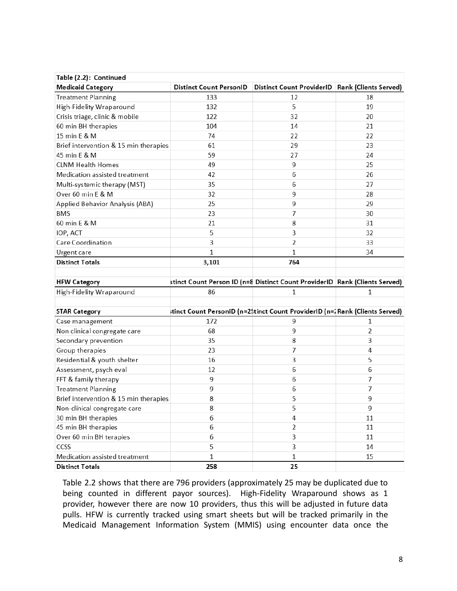| Table (2.2): Continued                |              |                                                                               |    |
|---------------------------------------|--------------|-------------------------------------------------------------------------------|----|
| <b>Medicaid Category</b>              |              | Distinct Count PersonID   Distinct Count ProviderID   Rank (Clients Served)   |    |
| <b>Treatment Planning</b>             | 133          | 12                                                                            | 18 |
| High-Fidelity Wraparound              | 132          | 5                                                                             | 19 |
| Crisis triage, clinic & mobile        | 122          | 32                                                                            | 20 |
| 60 min BH therapies                   | 104          | 14                                                                            | 21 |
| 15 min E & M                          | 74           | 22                                                                            | 22 |
| Brief intervention & 15 min therapies | 61           | 29                                                                            | 23 |
| 45 min E & M                          | 59           | 27                                                                            | 24 |
| <b>CLNM Health Homes</b>              | 49           | 9                                                                             | 25 |
| Medication assisted treatment         | 42           | 6                                                                             | 26 |
| Multi-systemic therapy (MST)          | 35           | 6                                                                             | 27 |
| Over 60 min E & M                     | 32           | 9                                                                             | 28 |
| Applied Behavior Analysis (ABA)       | 25           | 9                                                                             | 29 |
| <b>BMS</b>                            | 23           | 7                                                                             | 30 |
| 60 min E & M                          | 21           | 8                                                                             | 31 |
| IOP, ACT                              | 5            | 3                                                                             | 32 |
| Care Coordination                     | 3            | 2                                                                             | 33 |
| Urgent care                           | $\mathbf{1}$ | 1                                                                             | 34 |
| <b>Distinct Totals</b>                | 3,101        | 764                                                                           |    |
|                                       |              |                                                                               |    |
| <b>HFW Category</b>                   |              | stinct Count Person ID (n=8 Distinct Count ProviderID Rank (Clients Served)   |    |
| High-Fidelity Wraparound              | 86           | 1                                                                             | 1  |
|                                       |              |                                                                               |    |
| <b>STAR Category</b>                  |              | itinct Count PersonID (n=2\$tinct Count ProviderID (n=1 Rank (Clients Served) |    |
| Case management                       | 172          | 9                                                                             | 1  |
| Non clinical congregate care          | 68           | 9                                                                             | 2  |
| Secondary prevention                  | 35           | 8                                                                             | 3  |
| Group therapies                       | 23           | 7                                                                             | 4  |
| Residential & youth shelter           | 16           | 3                                                                             | 5  |
| Assessment, psych eval                | 12           | 6                                                                             | 6  |
| FFT & family therapy                  | 9            | 6                                                                             | 7  |
| <b>Treatment Planning</b>             | 9            | 6                                                                             | 7  |
| Brief intervention & 15 min therapies | 8            | 5                                                                             | 9  |
| Non-clinical congregate care          | 8            | 5                                                                             | 9  |
| 30 min BH therapies                   | 6            | 4                                                                             | 11 |
| 45 min BH therapies                   | 6            | $\overline{2}$                                                                | 11 |
| Over 60 min BH terapies               | 6            | 3                                                                             | 11 |
| CCSS                                  |              |                                                                               |    |
|                                       | 5            | 3                                                                             | 14 |
| Medication assisted treatment         | 1            | 1                                                                             | 15 |

Table 2.2 shows that there are 796 providers (approximately 25 may be duplicated due to being counted in different payor sources). High-Fidelity Wraparound shows as 1 provider, however there are now 10 providers, thus this will be adjusted in future data pulls. HFW is currently tracked using smart sheets but will be tracked primarily in the Medicaid Management Information System (MMIS) using encounter data once the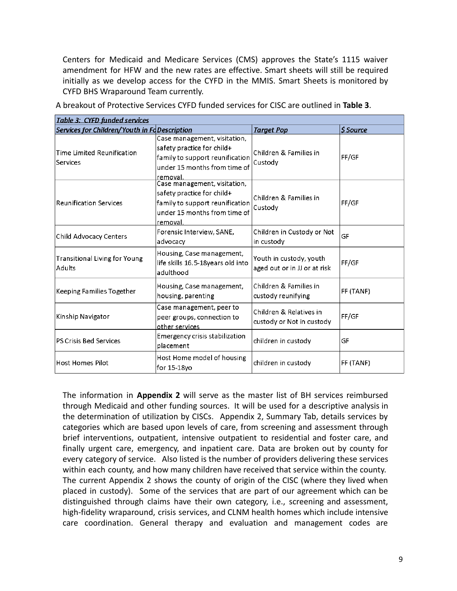Centers for Medicaid and Medicare Services (CMS) approves the State's 1115 waiver amendment for HFW and the new rates are effective. Smart sheets will still be required initially as we develop access for the CYFD in the MMIS. Smart Sheets is monitored by CYFD BHS Wraparound Team currently.

| <u> Table 3: CYFD funded services</u>                |                                                                                                                                           |                                                         |                        |
|------------------------------------------------------|-------------------------------------------------------------------------------------------------------------------------------------------|---------------------------------------------------------|------------------------|
| <b>Services for Children/Youth in Fc Description</b> |                                                                                                                                           | <b>Target Pop</b>                                       | <i><b>S</b></i> Source |
| Time Limited Reunification<br>Services               | Case management, visitation,<br>safety practice for child+<br>family to support reunification<br>under 15 months from time of<br>removal. | Children & Families in<br>Custody                       | FF/GF                  |
| <b>Reunification Services</b>                        | Case management, visitation,<br>safety practice for child+<br>family to support reunification<br>under 15 months from time of<br>removal. | Children & Families in<br>Custody                       | FF/GF                  |
| Child Advocacy Centers                               | Forensic Interview, SANE,<br>advocacy                                                                                                     | Children in Custody or Not<br>in custody                | GF                     |
| <b>Transitional Living for Young</b><br>Adults       | Housing, Case management,<br>life skills 16.5-18years old into<br>adulthood                                                               | Youth in custody, youth<br>aged out or in JJ or at risk | FF/GF                  |
| Keeping Families Together                            | Housing, Case management,<br>housing, parenting                                                                                           | Children & Families in<br>custody reunifying            | FF (TANF)              |
| Kinship Navigator                                    | Case management, peer to<br>peer groups, connection to<br>other services                                                                  | Children & Relatives in<br>custody or Not in custody    | FF/GF                  |
| <b>PS Crisis Bed Services</b>                        | Emergency crisis stabilization<br>placement                                                                                               | children in custody                                     | GF                     |
| <b>Host Homes Pilot</b>                              | Host Home model of housing<br>for 15-18yo                                                                                                 | children in custody                                     | FF (TANF)              |

A breakout of Protective Services CYFD funded services for CISC are outlined in **Table 3**.

The information in **Appendix 2** will serve as the master list of BH services reimbursed through Medicaid and other funding sources. It will be used for a descriptive analysis in the determination of utilization by CISCs. Appendix 2, Summary Tab, details services by categories which are based upon levels of care, from screening and assessment through brief interventions, outpatient, intensive outpatient to residential and foster care, and finally urgent care, emergency, and inpatient care. Data are broken out by county for every category of service. Also listed is the number of providers delivering these services within each county, and how many children have received that service within the county. The current Appendix 2 shows the county of origin of the CISC (where they lived when placed in custody). Some of the services that are part of our agreement which can be distinguished through claims have their own category, i.e., screening and assessment, high-fidelity wraparound, crisis services, and CLNM health homes which include intensive care coordination. General therapy and evaluation and management codes are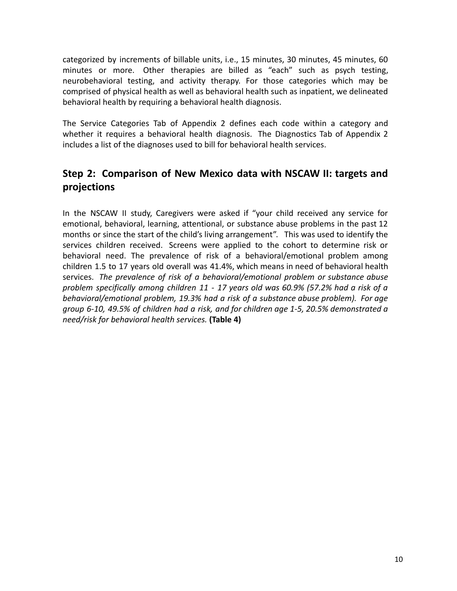categorized by increments of billable units, i.e., 15 minutes, 30 minutes, 45 minutes, 60 minutes or more. Other therapies are billed as "each" such as psych testing, neurobehavioral testing, and activity therapy. For those categories which may be comprised of physical health as well as behavioral health such as inpatient, we delineated behavioral health by requiring a behavioral health diagnosis.

The Service Categories Tab of Appendix 2 defines each code within a category and whether it requires a behavioral health diagnosis. The Diagnostics Tab of Appendix 2 includes a list of the diagnoses used to bill for behavioral health services.

## **Step 2: Comparison of New Mexico data with NSCAW II: targets and projections**

In the NSCAW II study, Caregivers were asked if "your child received any service for emotional, behavioral, learning, attentional, or substance abuse problems in the past 12 months or since the start of the child's living arrangement". This was used to identify the services children received. Screens were applied to the cohort to determine risk or behavioral need. The prevalence of risk of a behavioral/emotional problem among children 1.5 to 17 years old overall was 41.4%, which means in need of behavioral health services. *The prevalence of risk of a behavioral/emotional problem or substance abuse problem specifically among children 11 - 17 years old was 60.9% (57.2% had a risk of a behavioral/emotional problem, 19.3% had a risk of a substance abuse problem). For age group 6-10, 49.5% of children had a risk, and for children age 1-5, 20.5% demonstrated a need/risk for behavioral health services.* **(Table 4)**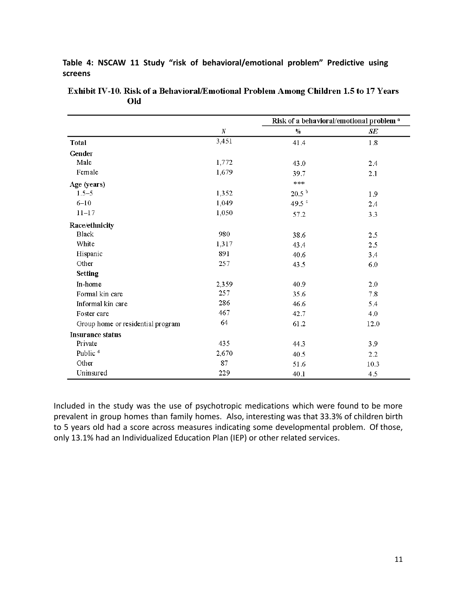**Table 4: NSCAW 11 Study "risk of behavioral/emotional problem" Predictive using screens**

|                                   |          | Risk of a behavioral/emotional problem <sup>a</sup> |         |
|-----------------------------------|----------|-----------------------------------------------------|---------|
|                                   | $\cal N$ | $\%$                                                | SE      |
| <b>Total</b>                      | 3,451    | 41.4                                                | 1.8     |
| Gender                            |          |                                                     |         |
| Male                              | 1,772    | 43.0                                                | 2.4     |
| Female                            | 1,679    | 39.7                                                | 2.1     |
| Age (years)                       |          | $* * *$                                             |         |
| $1.5 - 5$                         | 1,352    | $20.5^{b}$                                          | 1.9     |
| $6 - 10$                          | 1,049    | 49.5 <sup>c</sup>                                   | 2.4     |
| $11 - 17$                         | 1,050    | 57.2                                                | 3.3     |
| Race/ethnicity                    |          |                                                     |         |
| <b>Black</b>                      | 980      | 38.6                                                | 2.5     |
| White                             | 1,317    | 43.4                                                | 2.5     |
| Hispanic                          | 891      | 40.6                                                | 3.4     |
| Other                             | 257      | 43.5                                                | 6.0     |
| <b>Setting</b>                    |          |                                                     |         |
| In-home                           | 2,359    | 40.9                                                | 2.0     |
| Formal kin care                   | 257      | 35.6                                                | $7.8\,$ |
| Informal kin care                 | 286      | 46.6                                                | 5.4     |
| Foster care                       | 467      | 42.7                                                | 4.0     |
| Group home or residential program | 64       | 61.2                                                | 12.0    |
| <b>Insurance status</b>           |          |                                                     |         |
| Private                           | 435      | 44.3                                                | 3.9     |
| Public <sup>d</sup>               | 2,670    | 40.5                                                | 2.2     |
| Other                             | 87       | 51.6                                                | 10.3    |
| Uninsured                         | 229      | 40.1                                                | 4.5     |

Exhibit IV-10. Risk of a Behavioral/Emotional Problem Among Children 1.5 to 17 Years Old

Included in the study was the use of psychotropic medications which were found to be more prevalent in group homes than family homes. Also, interesting was that 33.3% of children birth to 5 years old had a score across measures indicating some developmental problem. Of those, only 13.1% had an Individualized Education Plan (IEP) or other related services.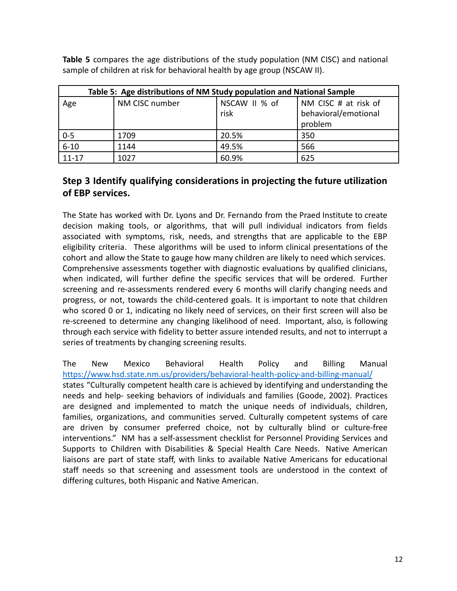**Table 5** compares the age distributions of the study population (NM CISC) and national sample of children at risk for behavioral health by age group (NSCAW II).

|                  | Table 5: Age distributions of NM Study population and National Sample |                       |                                                         |  |
|------------------|-----------------------------------------------------------------------|-----------------------|---------------------------------------------------------|--|
| Age              | NM CISC number                                                        | NSCAW II % of<br>risk | NM CISC # at risk of<br>behavioral/emotional<br>problem |  |
| $0 - 5$          | 1709                                                                  | 20.5%                 | 350                                                     |  |
| $\frac{1}{6-10}$ | 1144                                                                  | 49.5%                 | 566                                                     |  |
| $11 - 17$        | 1027                                                                  | 60.9%                 | 625                                                     |  |

## **Step 3 Identify qualifying considerations in projecting the future utilization of EBP services.**

The State has worked with Dr. Lyons and Dr. Fernando from the Praed Institute to create decision making tools, or algorithms, that will pull individual indicators from fields associated with symptoms, risk, needs, and strengths that are applicable to the EBP eligibility criteria. These algorithms will be used to inform clinical presentations of the cohort and allow the State to gauge how many children are likely to need which services. Comprehensive assessments together with diagnostic evaluations by qualified clinicians, when indicated, will further define the specific services that will be ordered. Further screening and re-assessments rendered every 6 months will clarify changing needs and progress, or not, towards the child-centered goals. It is important to note that children who scored 0 or 1, indicating no likely need of services, on their first screen will also be re-screened to determine any changing likelihood of need. Important, also, is following through each service with fidelity to better assure intended results, and not to interrupt a series of treatments by changing screening results.

The New Mexico Behavioral Health Policy and Billing Manual <https://www.hsd.state.nm.us/providers/behavioral-health-policy-and-billing-manual/> states "Culturally competent health care is achieved by identifying and understanding the needs and help- seeking behaviors of individuals and families (Goode, 2002). Practices are designed and implemented to match the unique needs of individuals, children, families, organizations, and communities served. Culturally competent systems of care are driven by consumer preferred choice, not by culturally blind or culture-free interventions." NM has a self-assessment checklist for Personnel Providing Services and Supports to Children with Disabilities & Special Health Care Needs. Native American liaisons are part of state staff, with links to available Native Americans for educational staff needs so that screening and assessment tools are understood in the context of differing cultures, both Hispanic and Native American.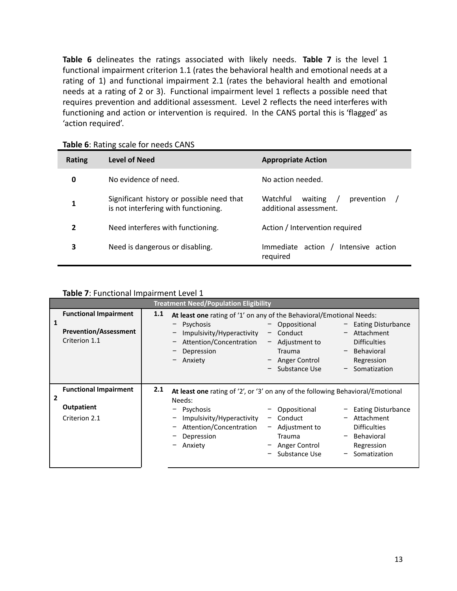**Table 6** delineates the ratings associated with likely needs. **Table 7** is the level 1 functional impairment criterion 1.1 (rates the behavioral health and emotional needs at a rating of 1) and functional impairment 2.1 (rates the behavioral health and emotional needs at a rating of 2 or 3). Functional impairment level 1 reflects a possible need that requires prevention and additional assessment. Level 2 reflects the need interferes with functioning and action or intervention is required. In the CANS portal this is 'flagged' as 'action required'.

| <b>Rating</b> | Level of Need                                                                     | <b>Appropriate Action</b>                                   |
|---------------|-----------------------------------------------------------------------------------|-------------------------------------------------------------|
| 0             | No evidence of need.                                                              | No action needed.                                           |
| 1             | Significant history or possible need that<br>is not interfering with functioning. | Watchful<br>prevention<br>waiting<br>additional assessment. |
| 2             | Need interferes with functioning.                                                 | Action / Intervention required                              |
| 3             | Need is dangerous or disabling.                                                   | Immediate action /<br>Intensive action<br>reguired          |

**Table 6**: Rating scale for needs CANS

#### **Table 7**: Functional Impairment Level 1

| <b>Treatment Need/Population Eligibility</b>                                       |                                                                                                                                                                                                                                                                                                                                                                                                                                                                               |  |
|------------------------------------------------------------------------------------|-------------------------------------------------------------------------------------------------------------------------------------------------------------------------------------------------------------------------------------------------------------------------------------------------------------------------------------------------------------------------------------------------------------------------------------------------------------------------------|--|
| <b>Functional Impairment</b><br>1<br><b>Prevention/Assessment</b><br>Criterion 1.1 | 1.1<br>At least one rating of '1' on any of the Behavioral/Emotional Needs:<br>Psychosis<br>Oppositional<br><b>Eating Disturbance</b><br>-<br>Impulsivity/Hyperactivity<br>Conduct<br>Attachment<br>-<br>-<br>Attention/Concentration<br><b>Difficulties</b><br>Adjustment to<br>-<br>$\overline{\phantom{a}}$<br>Behavioral<br>Depression<br><b>Trauma</b><br>$\overline{\phantom{0}}$<br>- Anger Control<br>Anxiety<br>Regression<br>-<br>Substance Use<br>$-$ Somatization |  |
| <b>Functional Impairment</b><br>2<br><b>Outpatient</b><br>Criterion 2.1            | 2.1<br>At least one rating of '2', or '3' on any of the following Behavioral/Emotional<br>Needs:<br>Psychosis<br>Oppositional<br><b>Eating Disturbance</b><br>Impulsivity/Hyperactivity<br>Conduct<br>Attachment<br>$\overline{\phantom{m}}$<br>Attention/Concentration<br>Adjustment to<br><b>Difficulties</b><br>$\overline{\phantom{a}}$<br>Behavioral<br>Depression<br><b>Trauma</b><br>Anxiety<br>Anger Control<br>Regression<br>Substance Use<br>Somatization           |  |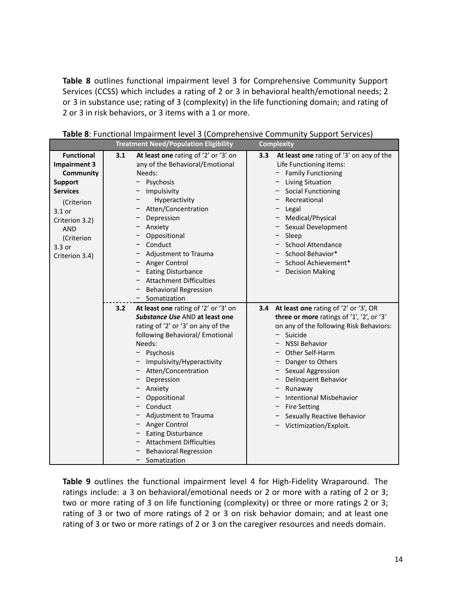**Table 8** outlines functional impairment level 3 for Comprehensive Community Support Services (CCSS) which includes a rating of 2 or 3 in behavioral health/emotional needs; 2 or 3 in substance use; rating of 3 (complexity) in the life functioning domain; and rating of 2 or 3 in risk behaviors, or 3 items with a 1 or more.

|                                                                                                                                                                                                       |     | <b>Treatment Need/Population Eligibility</b>                                                                                                                                                                                                                                                                                                                                                                                                  |     | <b>Complexity</b>                                                                                                                                                                                                                                                                                                                                                                     |
|-------------------------------------------------------------------------------------------------------------------------------------------------------------------------------------------------------|-----|-----------------------------------------------------------------------------------------------------------------------------------------------------------------------------------------------------------------------------------------------------------------------------------------------------------------------------------------------------------------------------------------------------------------------------------------------|-----|---------------------------------------------------------------------------------------------------------------------------------------------------------------------------------------------------------------------------------------------------------------------------------------------------------------------------------------------------------------------------------------|
| <b>Functional</b><br><b>Impairment 3</b><br><b>Community</b><br><b>Support</b><br><b>Services</b><br>(Criterion<br>$3.1$ or<br>Criterion 3.2)<br><b>AND</b><br>(Criterion<br>3.3 or<br>Criterion 3.4) | 3.1 | At least one rating of '2' or '3' on<br>any of the Behavioral/Emotional<br>Needs:<br>Psychosis<br>Impulsivity<br>Hyperactivity<br>Atten/Concentration<br>Depression<br>Anxiety<br>Oppositional<br>Conduct<br>Adjustment to Trauma<br>Anger Control<br><b>Eating Disturbance</b><br><b>Attachment Difficulties</b><br><b>Behavioral Regression</b><br>Somatization                                                                             | 3.3 | At least one rating of '3' on any of the<br>Life Functioning items:<br>- Family Functioning<br><b>Living Situation</b><br><b>Social Functioning</b><br>Recreational<br>- Legal<br>- Medical/Physical<br>- Sexual Development<br>- Sleep<br>- School Attendance<br>- School Behavior*<br>School Achievement*<br><b>Decision Making</b>                                                 |
|                                                                                                                                                                                                       | 3.2 | At least one rating of '2' or '3' on<br>Substance Use AND at least one<br>rating of '2' or '3' on any of the<br>following Behavioral/ Emotional<br>Needs:<br>Psychosis<br>Impulsivity/Hyperactivity<br>Atten/Concentration<br>Depression<br>Anxiety<br>Oppositional<br>Conduct<br>Adjustment to Trauma<br>Anger Control<br><b>Eating Disturbance</b><br><b>Attachment Difficulties</b><br><b>Behavioral Regression</b><br>Somatization<br>$-$ | 3.4 | At least one rating of '2' or '3', OR<br>three or more ratings of '1', '2', or '3'<br>on any of the following Risk Behaviors:<br>- Suicide<br><b>NSSI Behavior</b><br>Other Self-Harm<br>Danger to Others<br>- Sexual Aggression<br>Delinquent Behavior<br>Runaway<br><b>Intentional Misbehavior</b><br><b>Fire Setting</b><br>Sexually Reactive Behavior<br>- Victimization/Exploit. |

**Table 8**: Functional Impairment level 3 (Comprehensive Community Support Services)

**Table 9** outlines the functional impairment level 4 for High-Fidelity Wraparound. The ratings include: a 3 on behavioral/emotional needs or 2 or more with a rating of 2 or 3; two or more rating of 3 on life functioning (complexity) or three or more ratings 2 or 3; rating of 3 or two of more ratings of 2 or 3 on risk behavior domain; and at least one rating of 3 or two or more ratings of 2 or 3 on the caregiver resources and needs domain.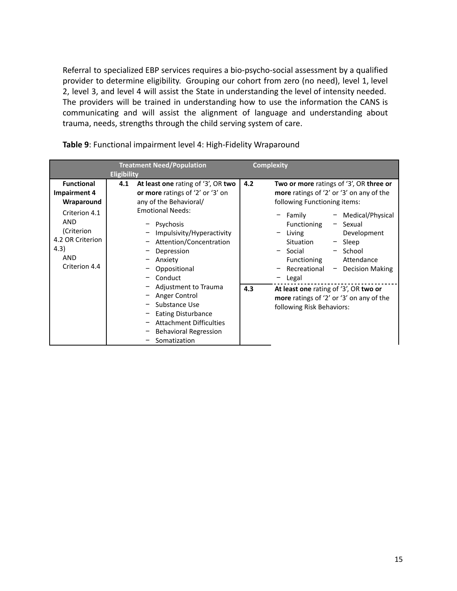Referral to specialized EBP services requires a bio-psycho-social assessment by a qualified provider to determine eligibility. Grouping our cohort from zero (no need), level 1, level 2, level 3, and level 4 will assist the State in understanding the level of intensity needed. The providers will be trained in understanding how to use the information the CANS is communicating and will assist the alignment of language and understanding about trauma, needs, strengths through the child serving system of care.

|                                                                                                                                                                | <b>Treatment Need/Population</b><br><b>Eligibility</b>                                                                                                                                                                                                                                                                                                                                                                                         | <b>Complexity</b>                                                                                                                                                                                                                                                                                                                                                                                                                                                    |
|----------------------------------------------------------------------------------------------------------------------------------------------------------------|------------------------------------------------------------------------------------------------------------------------------------------------------------------------------------------------------------------------------------------------------------------------------------------------------------------------------------------------------------------------------------------------------------------------------------------------|----------------------------------------------------------------------------------------------------------------------------------------------------------------------------------------------------------------------------------------------------------------------------------------------------------------------------------------------------------------------------------------------------------------------------------------------------------------------|
| <b>Functional</b><br><b>Impairment 4</b><br>Wraparound<br>Criterion 4.1<br><b>AND</b><br>(Criterion<br>4.2 OR Criterion<br>4.3)<br><b>AND</b><br>Criterion 4.4 | At least one rating of '3', OR two<br>4.1<br>or more ratings of '2' or '3' on<br>any of the Behavioral/<br><b>Emotional Needs:</b><br>- Psychosis<br>Impulsivity/Hyperactivity<br>- Attention/Concentration<br>Depression<br>Anxiety<br>Oppositional<br>- Conduct<br>- Adjustment to Trauma<br>- Anger Control<br>Substance Use<br><b>Eating Disturbance</b><br><b>Attachment Difficulties</b><br><b>Behavioral Regression</b><br>Somatization | 4.2<br>Two or more ratings of '3', OR three or<br>more ratings of '2' or '3' on any of the<br>following Functioning items:<br>- Family<br>Medical/Physical<br>Functioning<br>- Sexual<br>Development<br>Living<br>Situation<br>- Sleep<br>- School<br>- Social<br>Attendance<br>Functioning<br>Recreational<br>$-$ Decision Making<br>Legal<br>4.3<br>At least one rating of '3', OR two or<br>more ratings of '2' or '3' on any of the<br>following Risk Behaviors: |

**Table 9**: Functional impairment level 4: High-Fidelity Wraparound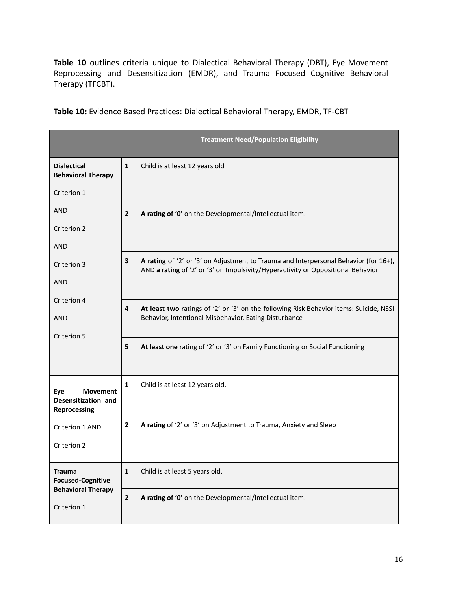**Table 10** outlines criteria unique to Dialectical Behavioral Therapy (DBT), Eye Movement Reprocessing and Desensitization (EMDR), and Trauma Focused Cognitive Behavioral Therapy (TFCBT).

**Table 10:** Evidence Based Practices: Dialectical Behavioral Therapy, EMDR, TF-CBT

|                                                 |                | <b>Treatment Need/Population Eligibility</b>                                                                                                                             |
|-------------------------------------------------|----------------|--------------------------------------------------------------------------------------------------------------------------------------------------------------------------|
| <b>Dialectical</b><br><b>Behavioral Therapy</b> | 1              | Child is at least 12 years old                                                                                                                                           |
| Criterion 1                                     |                |                                                                                                                                                                          |
| <b>AND</b>                                      | $\overline{2}$ | A rating of '0' on the Developmental/Intellectual item.                                                                                                                  |
| Criterion 2                                     |                |                                                                                                                                                                          |
| <b>AND</b>                                      |                |                                                                                                                                                                          |
| Criterion 3                                     | 3              | A rating of '2' or '3' on Adjustment to Trauma and Interpersonal Behavior (for 16+),<br>AND a rating of '2' or '3' on Impulsivity/Hyperactivity or Oppositional Behavior |
| <b>AND</b>                                      |                |                                                                                                                                                                          |
| Criterion 4                                     | 4              |                                                                                                                                                                          |
| <b>AND</b>                                      |                | At least two ratings of '2' or '3' on the following Risk Behavior items: Suicide, NSSI<br>Behavior, Intentional Misbehavior, Eating Disturbance                          |
| Criterion 5                                     |                |                                                                                                                                                                          |
|                                                 | 5              | At least one rating of '2' or '3' on Family Functioning or Social Functioning                                                                                            |
| Eye<br><b>Movement</b>                          | $\mathbf{1}$   | Child is at least 12 years old.                                                                                                                                          |
| Desensitization and<br>Reprocessing             |                |                                                                                                                                                                          |
| Criterion 1 AND                                 | $\mathbf{2}$   | A rating of '2' or '3' on Adjustment to Trauma, Anxiety and Sleep                                                                                                        |
| Criterion 2                                     |                |                                                                                                                                                                          |
| <b>Trauma</b><br><b>Focused-Cognitive</b>       | $\mathbf 1$    | Child is at least 5 years old.                                                                                                                                           |
| <b>Behavioral Therapy</b><br>Criterion 1        | $\mathbf{2}$   | A rating of '0' on the Developmental/Intellectual item.                                                                                                                  |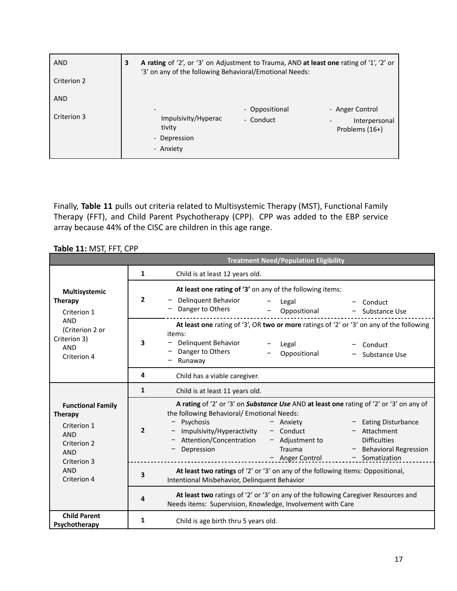| <b>AND</b>  | A rating of '2', or '3' on Adjustment to Trauma, AND at least one rating of '1', '2' or<br>'3' on any of the following Behavioral/Emotional Needs: |                |                                 |  |  |  |
|-------------|----------------------------------------------------------------------------------------------------------------------------------------------------|----------------|---------------------------------|--|--|--|
| Criterion 2 |                                                                                                                                                    |                |                                 |  |  |  |
| <b>AND</b>  |                                                                                                                                                    |                |                                 |  |  |  |
|             | $\overline{\phantom{a}}$                                                                                                                           | - Oppositional | - Anger Control                 |  |  |  |
| Criterion 3 | Impulsivity/Hyperac<br>tivity<br>- Depression<br>- Anxiety                                                                                         | - Conduct      | Interpersonal<br>Problems (16+) |  |  |  |

Finally, **Table 11** pulls out criteria related to Multisystemic Therapy (MST), Functional Family Therapy (FFT), and Child Parent Psychotherapy (CPP). CPP was added to the EBP service array because 44% of the CISC are children in this age range.

**Table 11:** MST, FFT, CPP

|                                                                                                                     | <b>Treatment Need/Population Eligibility</b> |                                                                                                                                                                                                                                                                                                                                                                                                                    |  |  |  |  |  |
|---------------------------------------------------------------------------------------------------------------------|----------------------------------------------|--------------------------------------------------------------------------------------------------------------------------------------------------------------------------------------------------------------------------------------------------------------------------------------------------------------------------------------------------------------------------------------------------------------------|--|--|--|--|--|
|                                                                                                                     | 1                                            | Child is at least 12 years old.                                                                                                                                                                                                                                                                                                                                                                                    |  |  |  |  |  |
| Multisystemic<br><b>Therapy</b><br>Criterion 1                                                                      | 2                                            | At least one rating of '3' on any of the following items:<br><b>Delinquent Behavior</b><br>Legal<br>Conduct<br>Danger to Others<br>Oppositional<br>Substance Use                                                                                                                                                                                                                                                   |  |  |  |  |  |
| <b>AND</b><br>(Criterion 2 or<br>Criterion 3)<br><b>AND</b><br>Criterion 4                                          | 3                                            | At least one rating of '3', OR two or more ratings of '2' or '3' on any of the following<br>items:<br>Delinquent Behavior<br>Legal<br>Conduct<br>Danger to Others<br>Oppositional<br>Substance Use<br>Runaway                                                                                                                                                                                                      |  |  |  |  |  |
|                                                                                                                     | 4                                            | Child has a viable caregiver.                                                                                                                                                                                                                                                                                                                                                                                      |  |  |  |  |  |
|                                                                                                                     | 1                                            | Child is at least 11 years old.                                                                                                                                                                                                                                                                                                                                                                                    |  |  |  |  |  |
| <b>Functional Family</b><br><b>Therapy</b><br>Criterion 1<br><b>AND</b><br>Criterion 2<br><b>AND</b><br>Criterion 3 | $\mathbf{2}$                                 | A rating of '2' or '3' on Substance Use AND at least one rating of '2' or '3' on any of<br>the following Behavioral/ Emotional Needs:<br>Psychosis<br>- Eating Disturbance<br>- Anxiety<br>Impulsivity/Hyperactivity<br>$-$ Conduct<br>- Attachment<br>Attention/Concentration<br>$-$ Adjustment to<br><b>Difficulties</b><br>Depression<br>- Behavioral Regression<br>Trauma<br>- Anger Control<br>- Somatization |  |  |  |  |  |
| <b>AND</b><br>Criterion 4                                                                                           | 3                                            | At least two ratings of '2' or '3' on any of the following items: Oppositional,<br>Intentional Misbehavior, Delinquent Behavior                                                                                                                                                                                                                                                                                    |  |  |  |  |  |
|                                                                                                                     | 4                                            | At least two ratings of '2' or '3' on any of the following Caregiver Resources and<br>Needs items: Supervision, Knowledge, Involvement with Care                                                                                                                                                                                                                                                                   |  |  |  |  |  |
| <b>Child Parent</b><br>Psychotherapy                                                                                | 1<br>Child is age birth thru 5 years old.    |                                                                                                                                                                                                                                                                                                                                                                                                                    |  |  |  |  |  |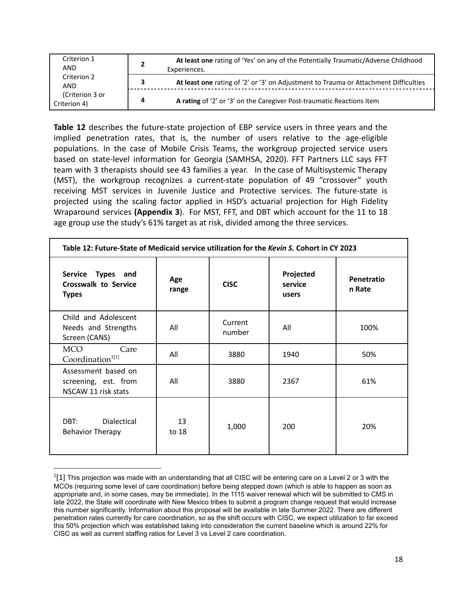| Criterion 1<br>AND              | At least one rating of 'Yes' on any of the Potentially Traumatic/Adverse Childhood<br>Experiences. |                                                                                      |  |  |  |
|---------------------------------|----------------------------------------------------------------------------------------------------|--------------------------------------------------------------------------------------|--|--|--|
| Criterion 2<br><b>AND</b>       | з                                                                                                  | At least one rating of '2' or '3' on Adjustment to Trauma or Attachment Difficulties |  |  |  |
| (Criterion 3 or<br>Criterion 4) | Δ                                                                                                  | A rating of '2' or '3' on the Caregiver Post-traumatic Reactions item                |  |  |  |

**Table 12** describes the future-state projection of EBP service users in three years and the implied penetration rates, that is, the number of users relative to the age-eligible populations. In the case of Mobile Crisis Teams, the workgroup projected service users based on state-level information for Georgia (SAMHSA, 2020). FFT Partners LLC says FFT team with 3 therapists should see 43 families a year. In the case of Multisystemic Therapy (MST), the workgroup recognizes a current-state population of 49 "crossover" youth receiving MST services in Juvenile Justice and Protective services. The future-state is projected using the scaling factor applied in HSD's actuarial projection for High Fidelity Wraparound services **(Appendix 3**). For MST, FFT, and DBT which account for the 11 to 18 age group use the study's 61% target as at risk, divided among the three services.

| Table 12: Future-State of Medicaid service utilization for the Kevin S. Cohort in CY 2023 |              |                                              |      |                      |  |  |
|-------------------------------------------------------------------------------------------|--------------|----------------------------------------------|------|----------------------|--|--|
| Service Types and<br><b>Crosswalk to Service</b><br><b>Types</b>                          | Age<br>range | Projected<br><b>CISC</b><br>service<br>users |      | Penetratio<br>n Rate |  |  |
| Child and Adolescent<br>Needs and Strengths<br>Screen (CANS)                              | All          | Current<br>number                            | All  | 100%                 |  |  |
| <b>MCO</b><br>Care<br>Coordination <sup>1[1]</sup>                                        | All          | 3880                                         | 1940 | 50%                  |  |  |
| Assessment based on<br>screening, est. from<br>NSCAW 11 risk stats                        | All          | 3880                                         | 2367 | 61%                  |  |  |
| DBT:<br><b>Dialectical</b><br><b>Behavior Therapy</b>                                     | 13<br>to 18  | 1,000                                        | 200  | 20%                  |  |  |

 $^{1}[1]$  This projection was made with an understanding that all CISC will be entering care on a Level 2 or 3 with the MCOs (requiring some level of care coordination) before being stepped down (which is able to happen as soon as appropriate and, in some cases, may be immediate). In the 1115 waiver renewal which will be submitted to CMS in late 2022, the State will coordinate with New Mexico tribes to submit a program change request that would increase this number significantly. Information about this proposal will be available in late Summer 2022. There are different penetration rates currently for care coordination, so as the shift occurs with CISC, we expect utilization to far exceed this 50% projection which was established taking into consideration the current baseline which is around 22% for CISC as well as current staffing ratios for Level 3 vs Level 2 care coordination.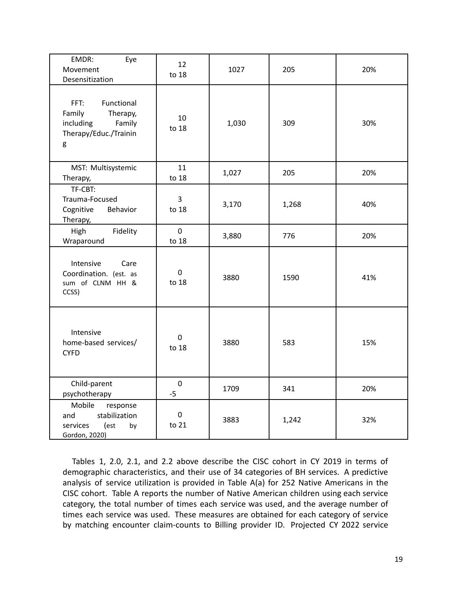| EMDR:<br>Eye<br>Movement<br>Desensitization                                                   | 12<br>to 18          | 1027  | 205   | 20% |
|-----------------------------------------------------------------------------------------------|----------------------|-------|-------|-----|
| FFT:<br>Functional<br>Family<br>Therapy,<br>including<br>Family<br>Therapy/Educ./Trainin<br>g | 10<br>to 18          | 1,030 | 309   | 30% |
| MST: Multisystemic<br>Therapy,                                                                | 11<br>to 18          | 1,027 | 205   | 20% |
| TF-CBT:<br>Trauma-Focused<br>Cognitive<br>Behavior<br>Therapy,                                | 3<br>to 18           | 3,170 | 1,268 | 40% |
| High<br>Fidelity<br>Wraparound                                                                | $\mathbf 0$<br>to 18 | 3,880 | 776   | 20% |
| Intensive<br>Care<br>Coordination. (est. as<br>sum of CLNM HH &<br>CCSS)                      | $\pmb{0}$<br>to 18   | 3880  | 1590  | 41% |
| Intensive<br>home-based services/<br><b>CYFD</b>                                              | $\mathbf 0$<br>to 18 | 3880  | 583   | 15% |
| Child-parent<br>psychotherapy                                                                 | $\mathbf 0$<br>$-5$  | 1709  | 341   | 20% |
| Mobile<br>response<br>stabilization<br>and<br>services<br>(est<br>by<br>Gordon, 2020)         | $\pmb{0}$<br>to 21   | 3883  | 1,242 | 32% |

Tables 1, 2.0, 2.1, and 2.2 above describe the CISC cohort in CY 2019 in terms of demographic characteristics, and their use of 34 categories of BH services. A predictive analysis of service utilization is provided in Table A(a) for 252 Native Americans in the CISC cohort. Table A reports the number of Native American children using each service category, the total number of times each service was used, and the average number of times each service was used. These measures are obtained for each category of service by matching encounter claim-counts to Billing provider ID. Projected CY 2022 service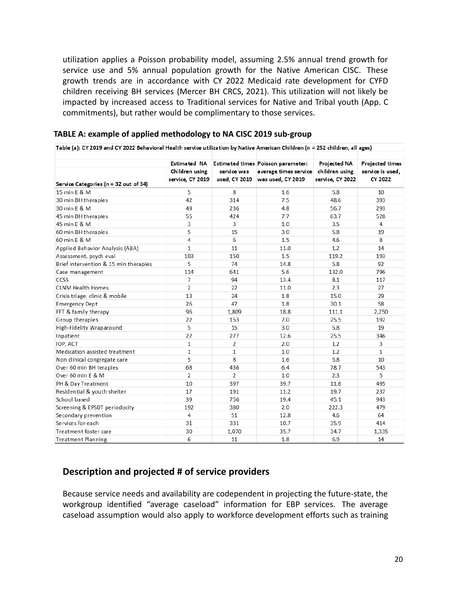utilization applies a Poisson probability model, assuming 2.5% annual trend growth for service use and 5% annual population growth for the Native American CISC. These growth trends are in accordance with CY 2022 Medicaid rate development for CYFD children receiving BH services (Mercer BH CRCS, 2021). This utilization will not likely be impacted by increased access to Traditional services for Native and Tribal youth (App. C commitments), but rather would be complimentary to those services.

| Table (a): CY 2019 and CY 2022 Behavioral Health service utilization by Native American Children (n = 252 children, all ages) |                                                           |                              |                                                                                  |                                                    |                                                |  |
|-------------------------------------------------------------------------------------------------------------------------------|-----------------------------------------------------------|------------------------------|----------------------------------------------------------------------------------|----------------------------------------------------|------------------------------------------------|--|
| Service Categories (n = 32 out of 34)                                                                                         | <b>Estimated NA</b><br>Children using<br>service, CY 2019 | service was<br>used, CY 2019 | Estimated times Poisson parameter:<br>average times service<br>was used, CY 2019 | Projected NA<br>children using<br>service, CY 2022 | Projected times<br>service is used,<br>CY 2022 |  |
| 15 min E & M                                                                                                                  | 5                                                         | 8                            | 1.6                                                                              | 5.8                                                | 10                                             |  |
| 30 min BH therapies                                                                                                           | 42                                                        | 314                          | 7.5                                                                              | 48.6                                               | 393                                            |  |
| 30 min E & M                                                                                                                  | 49                                                        | 236                          | 4.8                                                                              | 56.7                                               | 293                                            |  |
| 45 min BH therapies                                                                                                           | 55                                                        | 424                          | 7.7                                                                              | 63.7                                               | 528                                            |  |
| 45 min E & M                                                                                                                  | 3                                                         | 3                            | 1.0                                                                              | 3.5                                                | 4                                              |  |
| 60 min BH therapies                                                                                                           | 5                                                         | 15                           | 3.0                                                                              | 5.8                                                | 19                                             |  |
| 60 min E & M                                                                                                                  | 4                                                         | 6                            | 1.5                                                                              | 4.6                                                | 8                                              |  |
| Applied Behavior Analysis (ABA)                                                                                               | 1                                                         | 11                           | 11.0                                                                             | 1.2                                                | 14                                             |  |
| Assessment, psych eval                                                                                                        | 103                                                       | 150                          | 1.5                                                                              | 119.2                                              | 193                                            |  |
| Brief intervention & 15 min therapies                                                                                         | 5                                                         | 74                           | 14.8                                                                             | 5.8                                                | 92                                             |  |
| Case management                                                                                                               | 114                                                       | 641                          | 5.6                                                                              | 132.0                                              | 796                                            |  |
| <b>CCSS</b>                                                                                                                   | $\overline{7}$                                            | 94                           | 13.4                                                                             | 8.1                                                | 117                                            |  |
| <b>CLNM Health Homes</b>                                                                                                      | $\overline{2}$                                            | 22                           | 11.0                                                                             | 2.3                                                | 27                                             |  |
| Crisis triage, clinic & mobile                                                                                                | 13                                                        | 24                           | 1.8                                                                              | 15.0                                               | 29                                             |  |
| <b>Emergency Dept</b>                                                                                                         | 26                                                        | 47                           | 1.8                                                                              | 30.1                                               | 58                                             |  |
| FFT & family therapy                                                                                                          | 96                                                        | 1,809                        | 18.8                                                                             | 111.1                                              | 2,250                                          |  |
| Group therapies                                                                                                               | 22                                                        | 153                          | 7.0                                                                              | 25.5                                               | 192                                            |  |
| High-Fidelity Wraparound                                                                                                      | 5                                                         | 15                           | 3.0                                                                              | 5.8                                                | 19                                             |  |
| Inpatient                                                                                                                     | 22                                                        | 277                          | 12.6                                                                             | 25.5                                               | 346                                            |  |
| IOP, ACT                                                                                                                      | $\mathbf{1}$                                              | 2                            | 2.0                                                                              | 1.2                                                | 3                                              |  |
| Medication assisted treatment                                                                                                 | 1                                                         | 1                            | 1.0                                                                              | 1.2                                                | 1                                              |  |
| Non dinical congregate care                                                                                                   | 5                                                         | 8                            | 1.6                                                                              | 5.8                                                | 10                                             |  |
| Over 60 min BH terapies                                                                                                       | 68                                                        | 436                          | 6.4                                                                              | 78.7                                               | 543                                            |  |
| Over 60 min E & M                                                                                                             | $\overline{2}$                                            | 2                            | 1.0                                                                              | 2.3                                                | 5                                              |  |
| PH & Day Treatment                                                                                                            | 10                                                        | 397                          | 39.7                                                                             | 11.6                                               | 495                                            |  |
| Residential & youth shelter                                                                                                   | 17                                                        | 191                          | 11.2                                                                             | 19.7                                               | 237                                            |  |
| School based                                                                                                                  | 39                                                        | 756                          | 19.4                                                                             | 45.1                                               | 943                                            |  |
| Screening & EPSDT periodocity                                                                                                 | 192                                                       | 380                          | 2.0                                                                              | 222.3                                              | 479                                            |  |
| Secondary prevention                                                                                                          | 4                                                         | 51                           | 12.8                                                                             | 4.6                                                | 64                                             |  |
| Services for each                                                                                                             | 31                                                        | 331                          | 10.7                                                                             | 35.9                                               | 414                                            |  |
| Treatment foster care                                                                                                         | 30                                                        | 1,070                        | 35.7                                                                             | 34.7                                               | 1,335                                          |  |
| <b>Treatment Planning</b>                                                                                                     | 6                                                         | 11                           | 1.8                                                                              | 6.9                                                | 14                                             |  |

#### **TABLE A: example of applied methodology to NA CISC 2019 sub-group**

### **Description and projected # of service providers**

Because service needs and availability are codependent in projecting the future-state, the workgroup identified "average caseload" information for EBP services. The average caseload assumption would also apply to workforce development efforts such as training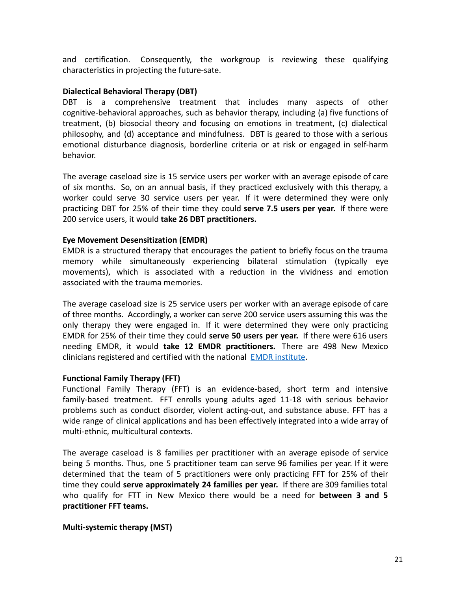and certification. Consequently, the workgroup is reviewing these qualifying characteristics in projecting the future-sate.

#### **Dialectical Behavioral Therapy (DBT)**

DBT is a comprehensive treatment that includes many aspects of other cognitive-behavioral approaches, such as behavior therapy, including (a) five functions of treatment, (b) biosocial theory and focusing on emotions in treatment, (c) dialectical philosophy, and (d) acceptance and mindfulness. DBT is geared to those with a serious emotional disturbance diagnosis, borderline criteria or at risk or engaged in self-harm behavior.

The average caseload size is 15 service users per worker with an average episode of care of six months. So, on an annual basis, if they practiced exclusively with this therapy, a worker could serve 30 service users per year. If it were determined they were only practicing DBT for 25% of their time they could **serve 7.5 users per year.** If there were 200 service users, it would **take 26 DBT practitioners.**

#### **Eye Movement Desensitization (EMDR)**

EMDR is a structured therapy that encourages the patient to briefly focus on the trauma memory while simultaneously experiencing bilateral stimulation (typically eye movements), which is associated with a reduction in the vividness and emotion associated with the trauma memories.

The average caseload size is 25 service users per worker with an average episode of care of three months. Accordingly, a worker can serve 200 service users assuming this was the only therapy they were engaged in. If it were determined they were only practicing EMDR for 25% of their time they could **serve 50 users per year.** If there were 616 users needing EMDR, it would **take 12 EMDR practitioners.** There are 498 New Mexico clinicians registered and certified with the national [EMDR institute](https://www.emdr.com/).

### **Functional Family Therapy (FFT)**

Functional Family Therapy (FFT) is an evidence-based, short term and intensive family-based treatment. FFT enrolls young adults aged 11-18 with serious behavior problems such as conduct disorder, violent acting-out, and substance abuse. FFT has a wide range of clinical applications and has been effectively integrated into a wide array of multi-ethnic, multicultural contexts.

The average caseload is 8 families per practitioner with an average episode of service being 5 months. Thus, one 5 practitioner team can serve 96 families per year. If it were determined that the team of 5 practitioners were only practicing FFT for 25% of their time they could **serve approximately 24 families per year.** If there are 309 families total who qualify for FTT in New Mexico there would be a need for **between 3 and 5 practitioner FFT teams.**

#### **Multi-systemic therapy (MST)**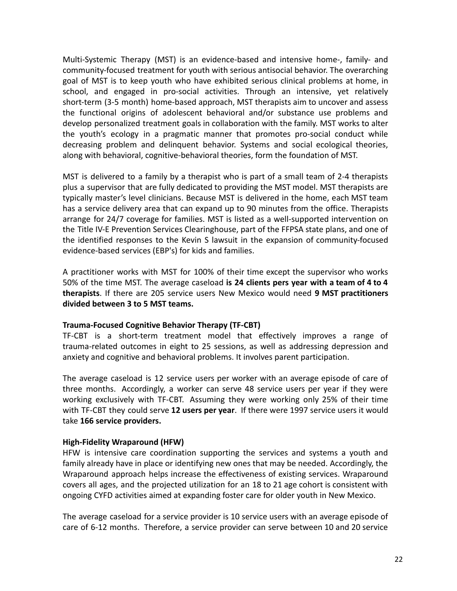Multi-Systemic Therapy (MST) is an evidence-based and intensive home-, family- and community-focused treatment for youth with serious antisocial behavior. The overarching goal of MST is to keep youth who have exhibited serious clinical problems at home, in school, and engaged in pro-social activities. Through an intensive, yet relatively short-term (3-5 month) home-based approach, MST therapists aim to uncover and assess the functional origins of adolescent behavioral and/or substance use problems and develop personalized treatment goals in collaboration with the family. MST works to alter the youth's ecology in a pragmatic manner that promotes pro-social conduct while decreasing problem and delinquent behavior. Systems and social ecological theories, along with behavioral, cognitive-behavioral theories, form the foundation of MST.

MST is delivered to a family by a therapist who is part of a small team of 2-4 therapists plus a supervisor that are fully dedicated to providing the MST model. MST therapists are typically master's level clinicians. Because MST is delivered in the home, each MST team has a service delivery area that can expand up to 90 minutes from the office. Therapists arrange for 24/7 coverage for families. MST is listed as a well-supported intervention on the Title IV-E Prevention Services Clearinghouse, part of the FFPSA state plans, and one of the identified responses to the Kevin S lawsuit in the expansion of community-focused evidence-based services (EBP's) for kids and families.

A practitioner works with MST for 100% of their time except the supervisor who works 50% of the time MST. The average caseload **is 24 clients pers year with a team of 4 to 4 therapists**. If there are 205 service users New Mexico would need **9 MST practitioners divided between 3 to 5 MST teams.**

#### **Trauma-Focused Cognitive Behavior Therapy (TF-CBT)**

TF-CBT is a short-term treatment model that effectively improves a range of trauma-related outcomes in eight to 25 sessions, as well as addressing depression and anxiety and cognitive and behavioral problems. It involves parent participation.

The average caseload is 12 service users per worker with an average episode of care of three months. Accordingly, a worker can serve 48 service users per year if they were working exclusively with TF-CBT. Assuming they were working only 25% of their time with TF-CBT they could serve **12 users per year**. If there were 1997 service users it would take **166 service providers.**

#### **High-Fidelity Wraparound (HFW)**

HFW is intensive care coordination supporting the services and systems a youth and family already have in place or identifying new ones that may be needed. Accordingly, the Wraparound approach helps increase the effectiveness of existing services. Wraparound covers all ages, and the projected utilization for an 18 to 21 age cohort is consistent with ongoing CYFD activities aimed at expanding foster care for older youth in New Mexico.

The average caseload for a service provider is 10 service users with an average episode of care of 6-12 months. Therefore, a service provider can serve between 10 and 20 service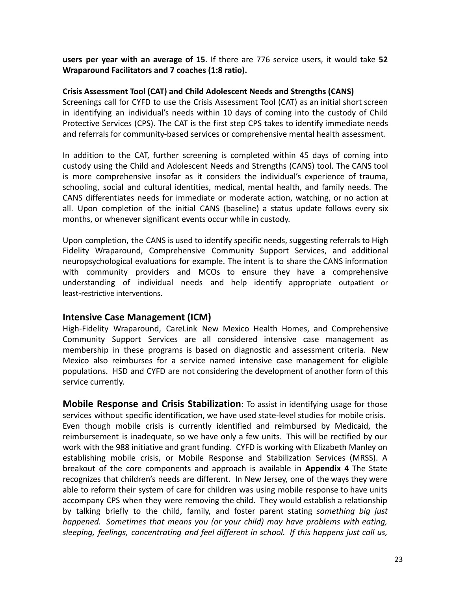**users per year with an average of 15**. If there are 776 service users, it would take **52 Wraparound Facilitators and 7 coaches (1:8 ratio).**

#### **Crisis Assessment Tool (CAT) and Child Adolescent Needs and Strengths (CANS)**

Screenings call for CYFD to use the Crisis Assessment Tool (CAT) as an initial short screen in identifying an individual's needs within 10 days of coming into the custody of Child Protective Services (CPS). The CAT is the first step CPS takes to identify immediate needs and referrals for community-based services or comprehensive mental health assessment.

In addition to the CAT, further screening is completed within 45 days of coming into custody using the Child and Adolescent Needs and Strengths (CANS) tool. The CANS tool is more comprehensive insofar as it considers the individual's experience of trauma, schooling, social and cultural identities, medical, mental health, and family needs. The CANS differentiates needs for immediate or moderate action, watching, or no action at all. Upon completion of the initial CANS (baseline) a status update follows every six months, or whenever significant events occur while in custody.

Upon completion, the CANS is used to identify specific needs, suggesting referrals to High Fidelity Wraparound, Comprehensive Community Support Services, and additional neuropsychological evaluations for example. The intent is to share the CANS information with community providers and MCOs to ensure they have a comprehensive understanding of individual needs and help identify appropriate outpatient or least-restrictive interventions.

### **Intensive Case Management (ICM)**

High-Fidelity Wraparound, CareLink New Mexico Health Homes, and Comprehensive Community Support Services are all considered intensive case management as membership in these programs is based on diagnostic and assessment criteria. New Mexico also reimburses for a service named intensive case management for eligible populations. HSD and CYFD are not considering the development of another form of this service currently.

**Mobile Response and Crisis Stabilization**: To assist in identifying usage for those services without specific identification, we have used state-level studies for mobile crisis. Even though mobile crisis is currently identified and reimbursed by Medicaid, the reimbursement is inadequate, so we have only a few units. This will be rectified by our work with the 988 initiative and grant funding. CYFD is working with Elizabeth Manley on establishing mobile crisis, or Mobile Response and Stabilization Services (MRSS). A breakout of the core components and approach is available in **Appendix 4** The State recognizes that children's needs are different. In New Jersey, one of the ways they were able to reform their system of care for children was using mobile response to have units accompany CPS when they were removing the child. They would establish a relationship by talking briefly to the child, family, and foster parent stating *something big just happened. Sometimes that means you (or your child) may have problems with eating, sleeping, feelings, concentrating and feel different in school. If this happens just call us,*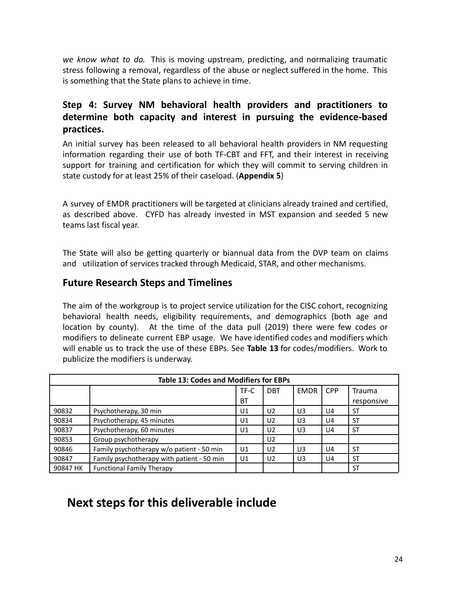*we know what to do.* This is moving upstream, predicting, and normalizing traumatic stress following a removal, regardless of the abuse or neglect suffered in the home. This is something that the State plans to achieve in time.

## **Step 4: Survey NM behavioral health providers and practitioners to determine both capacity and interest in pursuing the evidence-based practices.**

An initial survey has been released to all behavioral health providers in NM requesting information regarding their use of both TF-CBT and FFT, and their interest in receiving support for training and certification for which they will commit to serving children in state custody for at least 25% of their caseload. (**Appendix 5**)

A survey of EMDR practitioners will be targeted at clinicians already trained and certified, as described above. CYFD has already invested in MST expansion and seeded 5 new teams last fiscal year.

The State will also be getting quarterly or biannual data from the DVP team on claims and utilization of services tracked through Medicaid, STAR, and other mechanisms.

### **Future Research Steps and Timelines**

The aim of the workgroup is to project service utilization for the CISC cohort, recognizing behavioral health needs, eligibility requirements, and demographics (both age and location by county). At the time of the data pull (2019) there were few codes or modifiers to delineate current EBP usage. We have identified codes and modifiers which will enable us to track the use of these EBPs. See **Table 13** for codes/modifiers. Work to publicize the modifiers is underway.

| <b>Table 13: Codes and Modifiers for EBPs</b> |                                            |           |                |             |            |               |  |
|-----------------------------------------------|--------------------------------------------|-----------|----------------|-------------|------------|---------------|--|
|                                               |                                            | TF-C      | <b>DBT</b>     | <b>EMDR</b> | <b>CPP</b> | <b>Trauma</b> |  |
|                                               |                                            | <b>BT</b> |                |             |            | responsive    |  |
| 90832                                         | Psychotherapy, 30 min                      | U1        | U2             | U3          | U4         | ST            |  |
| 90834                                         | Psychotherapy, 45 minutes                  | U1        | U <sub>2</sub> | U3          | U4         | <b>ST</b>     |  |
| 90837                                         | Psychotherapy, 60 minutes                  | U1        | U <sub>2</sub> | U3          | U4         | ST            |  |
| 90853                                         | Group psychotherapy                        |           | U <sub>2</sub> |             |            |               |  |
| 90846                                         | Family psychotherapy w/o patient - 50 min  | U1        | U <sub>2</sub> | U3          | U4         | ST            |  |
| 90847                                         | Family psychotherapy with patient - 50 min | U1        | U <sub>2</sub> | U3          | U4         | ST            |  |
| 90847 HK                                      | <b>Functional Family Therapy</b>           |           |                |             |            | ST            |  |

## **Next steps for this deliverable include**